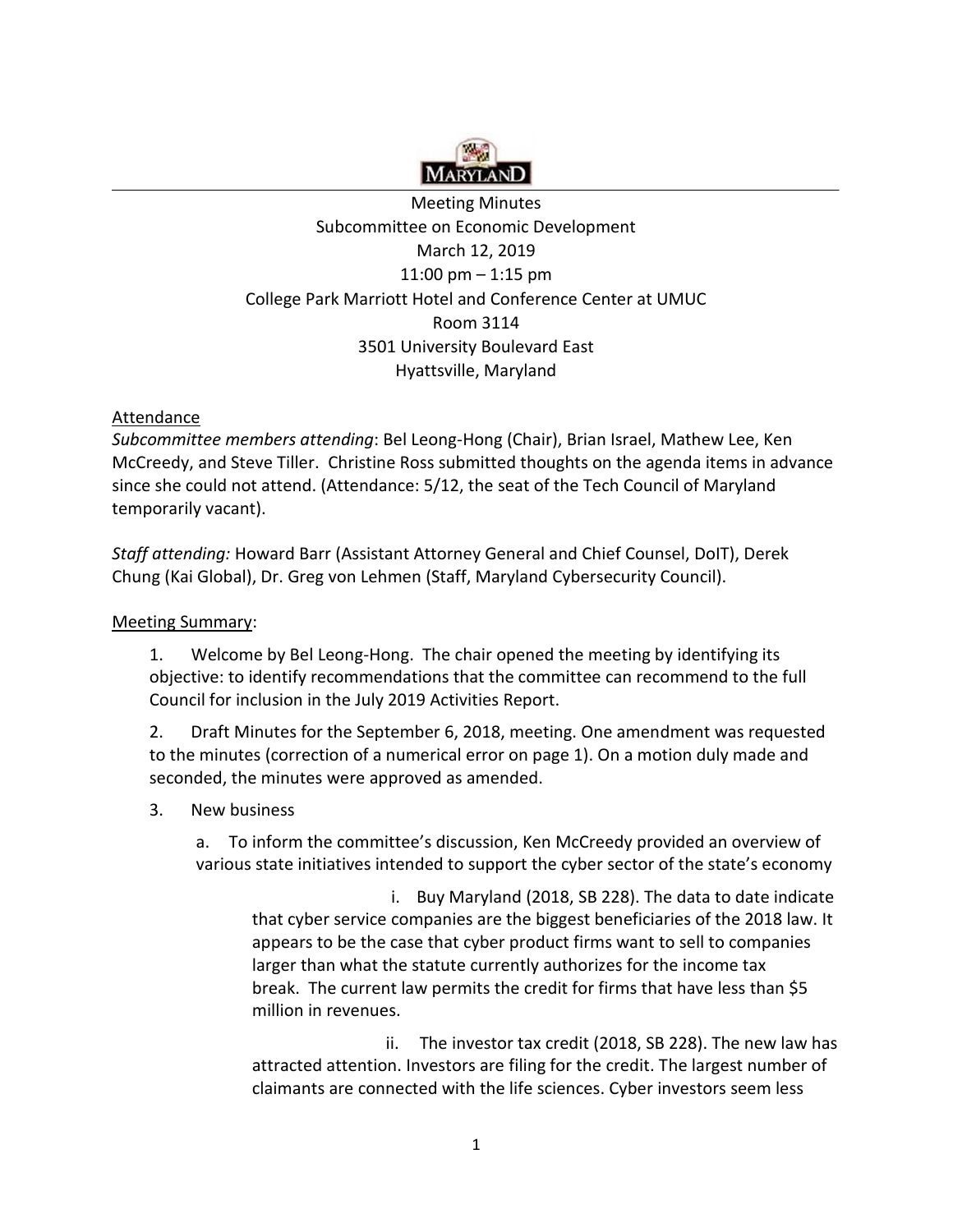

# Meeting Minutes Subcommittee on Economic Development March 12, 2019 11:00 pm – 1:15 pm College Park Marriott Hotel and Conference Center at UMUC Room 3114 3501 University Boulevard East Hyattsville, Maryland

### **Attendance**

 *Subcommittee members attending*: Bel Leong-Hong (Chair), Brian Israel, Mathew Lee, Ken McCreedy, and Steve Tiller. Christine Ross submitted thoughts on the agenda items in advance since she could not attend. (Attendance: 5/12, the seat of the Tech Council of Maryland temporarily vacant).

 *Staff attending:* Howard Barr (Assistant Attorney General and Chief Counsel, DoIT), Derek Chung (Kai Global), Dr. Greg von Lehmen (Staff, Maryland Cybersecurity Council).

#### Meeting Summary:

 1. Welcome by Bel Leong-Hong. The chair opened the meeting by identifying its objective: to identify recommendations that the committee can recommend to the full Council for inclusion in the July 2019 Activities Report.

2. to the minutes (correction of a numerical error on page 1). On a motion duly made and seconded, the minutes were approved as amended. 2. Draft Minutes for the September 6, 2018, meeting. One amendment was requested

#### $3<sub>1</sub>$ New business

a. To inform the committee's discussion, Ken McCreedy provided an overview of various state initiatives intended to support the cyber sector of the state's economy

 i. Buy Maryland (2018, SB 228). The data to date indicate that cyber service companies are the biggest beneficiaries of the 2018 law. It appears to be the case that cyber product firms want to sell to companies larger than what the statute currently authorizes for the income tax break. The current law permits the credit for firms that have less than \$5 million in revenues.

 ii. The investor tax credit (2018, SB 228). The new law has attracted attention. Investors are filing for the credit. The largest number of claimants are connected with the life sciences. Cyber investors seem less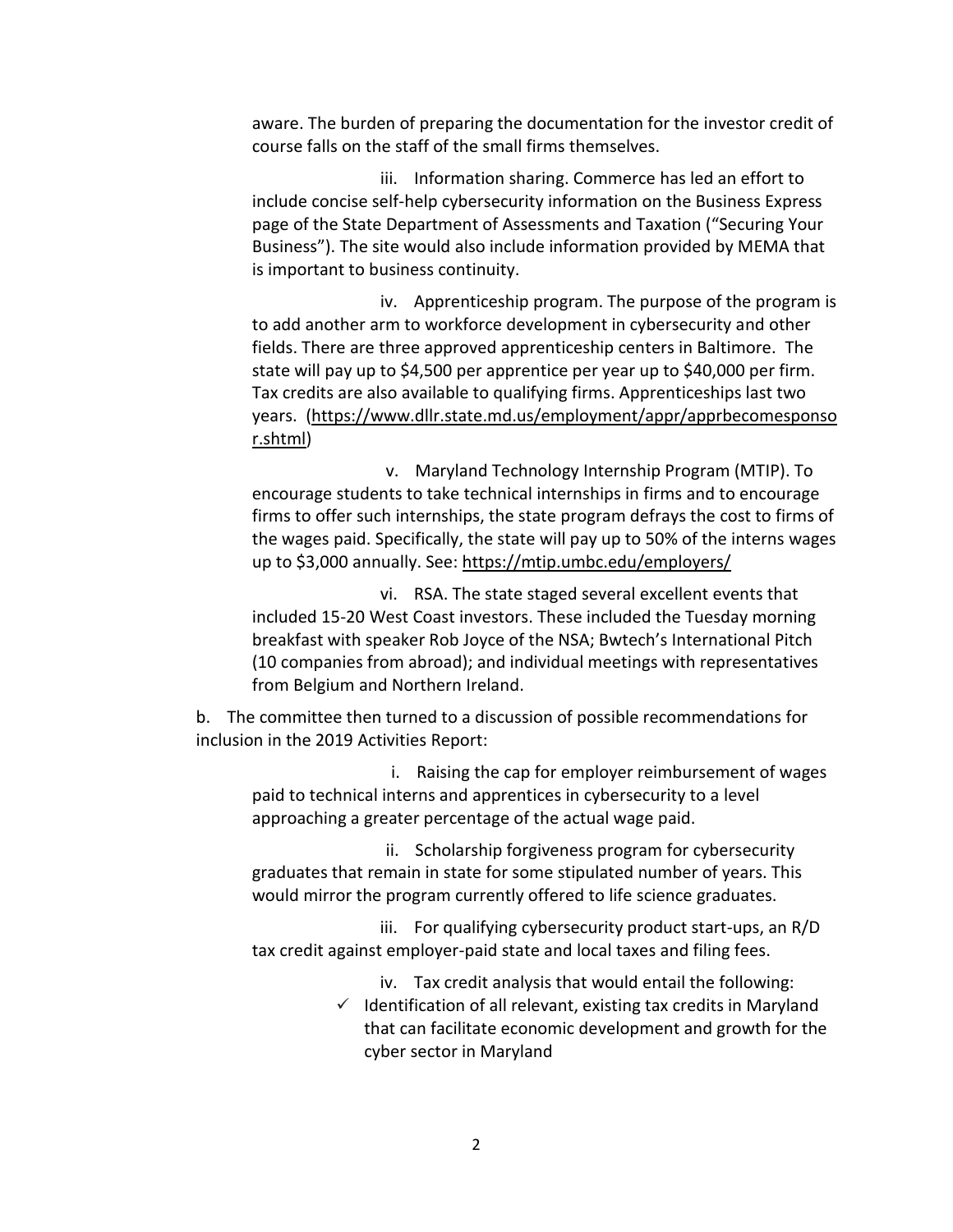aware. The burden of preparing the documentation for the investor credit of course falls on the staff of the small firms themselves.

 include concise self-help cybersecurity information on the Business Express page of the State Department of Assessments and Taxation ("Securing Your Business"). The site would also include information provided by MEMA that iii. Information sharing. Commerce has led an effort to is important to business continuity.

 to add another arm to workforce development in cybersecurity and other fields. There are three approved apprenticeship centers in Baltimore. The state will pay up to \$4,500 per apprentice per year up to \$40,000 per firm. Tax credits are also available to qualifying firms. Apprenticeships last two iv. Apprenticeship program. The purpose of the program is years. [\(https://www.dllr.state.md.us/employment/appr/apprbecomesponso](https://www.dllr.state.md.us/employment/appr/apprbecomesponsor.shtml)  [r.shtml\)](https://www.dllr.state.md.us/employment/appr/apprbecomesponsor.shtml)

 encourage students to take technical internships in firms and to encourage firms to offer such internships, the state program defrays the cost to firms of the wages paid. Specifically, the state will pay up to 50% of the interns wages up to \$3,000 annually. See: https://mtip.umbc.edu/employers/ v. Maryland Technology Internship Program (MTIP). To

 included 15-20 West Coast investors. These included the Tuesday morning breakfast with speaker Rob Joyce of the NSA; Bwtech's International Pitch (10 companies from abroad); and individual meetings with representatives from Belgium and Northern Ireland. vi. RSA. The state staged several excellent events that

 b. The committee then turned to a discussion of possible recommendations for inclusion in the 2019 Activities Report:

 paid to technical interns and apprentices in cybersecurity to a level approaching a greater percentage of the actual wage paid. i. Raising the cap for employer reimbursement of wages

 graduates that remain in state for some stipulated number of years. This would mirror the program currently offered to life science graduates. ii. Scholarship forgiveness program for cybersecurity

 tax credit against employer-paid state and local taxes and filing fees. iii. For qualifying cybersecurity product start-ups, an R/D

iv. Tax credit analysis that would entail the following:

 $\checkmark$  Identification of all relevant, existing tax credits in Maryland that can facilitate economic development and growth for the cyber sector in Maryland